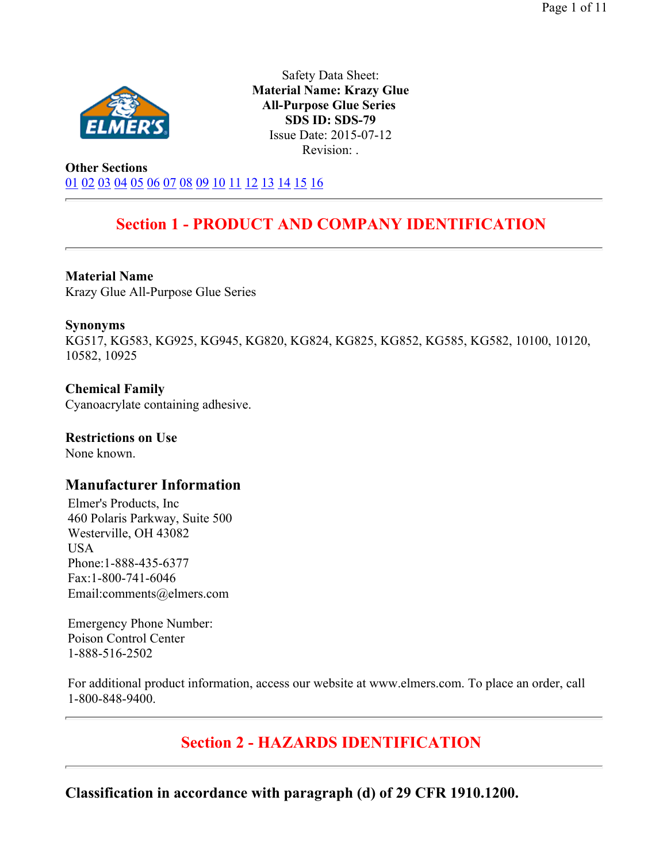

Safety Data Sheet: **Material Name: Krazy Glue All-Purpose Glue Series SDS ID: SDS-79** Issue Date: 2015-07-12 Revision: .

**Other Sections** 01 02 03 04 05 06 07 08 09 10 11 12 13 14 15 16

# **Section 1 - PRODUCT AND COMPANY IDENTIFICATION**

#### **Material Name**

Krazy Glue All-Purpose Glue Series

#### **Synonyms**

KG517, KG583, KG925, KG945, KG820, KG824, KG825, KG852, KG585, KG582, 10100, 10120, 10582, 10925

#### **Chemical Family**  Cyanoacrylate containing adhesive.

### **Restrictions on Use**

None known.

### **Manufacturer Information**

Elmer's Products, Inc 460 Polaris Parkway, Suite 500 Westerville, OH 43082 USA Phone:1-888-435-6377 Fax:1-800-741-6046 Email:comments@elmers.com

Emergency Phone Number: Poison Control Center 1-888-516-2502

For additional product information, access our website at www.elmers.com. To place an order, call 1-800-848-9400.

# **Section 2 - HAZARDS IDENTIFICATION**

**Classification in accordance with paragraph (d) of 29 CFR 1910.1200.**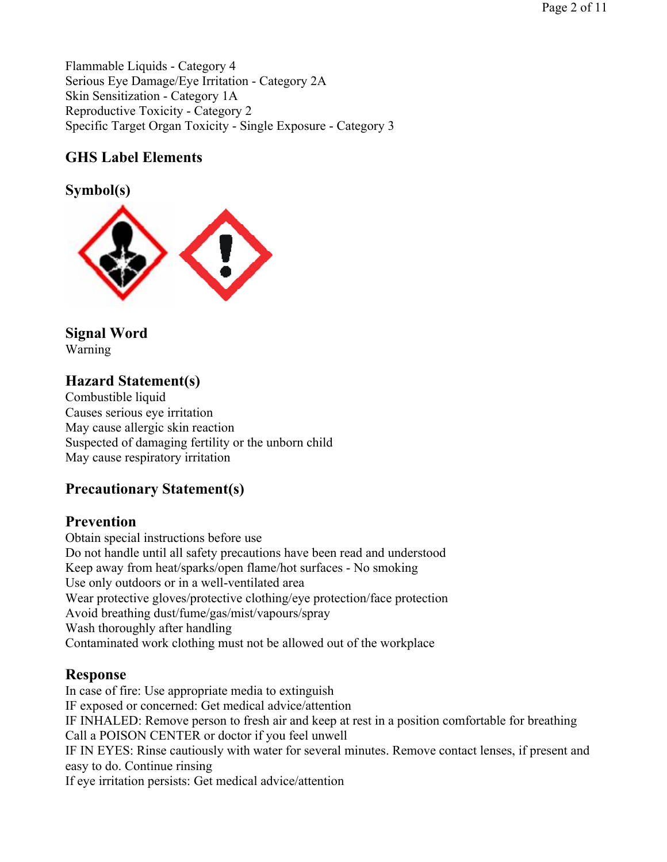Flammable Liquids - Category 4 Serious Eye Damage/Eye Irritation - Category 2A Skin Sensitization - Category 1A Reproductive Toxicity - Category 2 Specific Target Organ Toxicity - Single Exposure - Category 3

## **GHS Label Elements**

**Symbol(s)** 



# **Signal Word**

Warning

# **Hazard Statement(s)**

Combustible liquid Causes serious eye irritation May cause allergic skin reaction Suspected of damaging fertility or the unborn child May cause respiratory irritation

### **Precautionary Statement(s)**

### **Prevention**

Obtain special instructions before use Do not handle until all safety precautions have been read and understood Keep away from heat/sparks/open flame/hot surfaces - No smoking Use only outdoors or in a well-ventilated area Wear protective gloves/protective clothing/eye protection/face protection Avoid breathing dust/fume/gas/mist/vapours/spray Wash thoroughly after handling Contaminated work clothing must not be allowed out of the workplace

### **Response**

In case of fire: Use appropriate media to extinguish IF exposed or concerned: Get medical advice/attention IF INHALED: Remove person to fresh air and keep at rest in a position comfortable for breathing Call a POISON CENTER or doctor if you feel unwell IF IN EYES: Rinse cautiously with water for several minutes. Remove contact lenses, if present and easy to do. Continue rinsing If eye irritation persists: Get medical advice/attention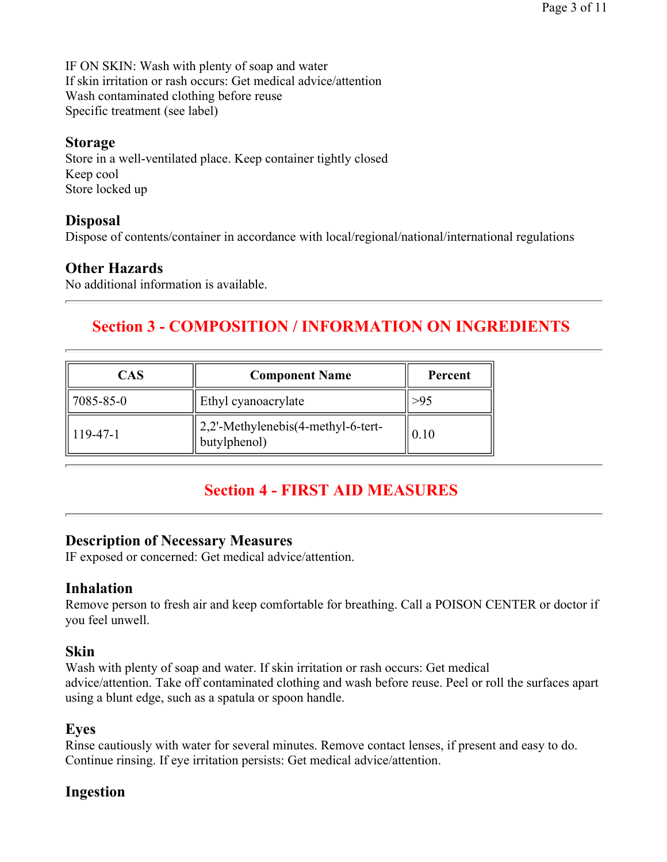IF ON SKIN: Wash with plenty of soap and water If skin irritation or rash occurs: Get medical advice/attention Wash contaminated clothing before reuse Specific treatment (see label)

### **Storage**

Store in a well-ventilated place. Keep container tightly closed Keep cool Store locked up

### **Disposal**

Dispose of contents/container in accordance with local/regional/national/international regulations

### **Other Hazards**

No additional information is available.

# **Section 3 - COMPOSITION / INFORMATION ON INGREDIENTS**

| CAS         | <b>Component Name</b>                              | Percent |  |  |
|-------------|----------------------------------------------------|---------|--|--|
| 7085-85-0   | Ethyl cyanoacrylate                                |         |  |  |
| $ 119-47-1$ | 2,2'-Methylenebis(4-methyl-6-tert-<br>butylphenol) | 0.10    |  |  |

## **Section 4 - FIRST AID MEASURES**

### **Description of Necessary Measures**

IF exposed or concerned: Get medical advice/attention.

### **Inhalation**

Remove person to fresh air and keep comfortable for breathing. Call a POISON CENTER or doctor if you feel unwell.

### **Skin**

Wash with plenty of soap and water. If skin irritation or rash occurs: Get medical advice/attention. Take off contaminated clothing and wash before reuse. Peel or roll the surfaces apart using a blunt edge, such as a spatula or spoon handle.

### **Eyes**

Rinse cautiously with water for several minutes. Remove contact lenses, if present and easy to do. Continue rinsing. If eye irritation persists: Get medical advice/attention.

### **Ingestion**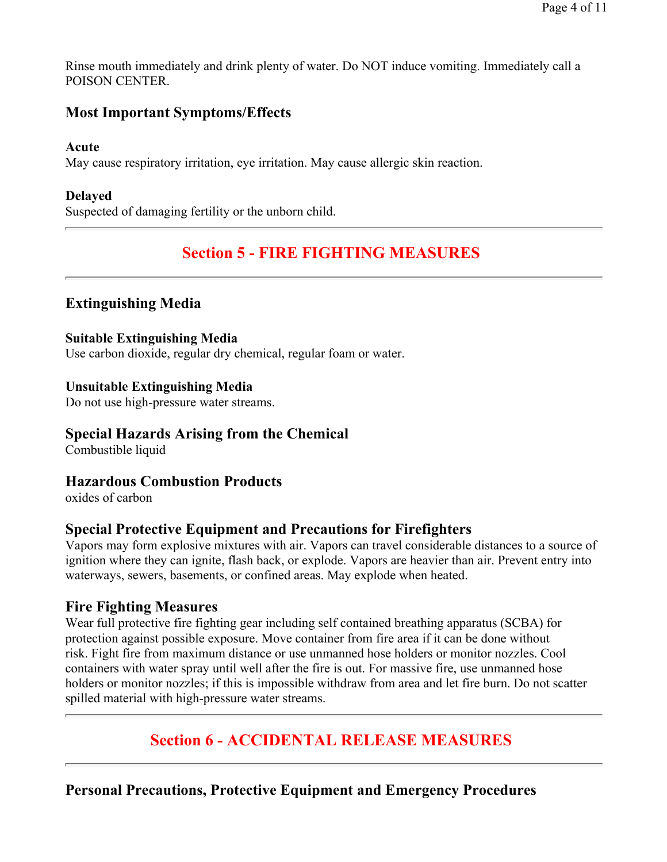Rinse mouth immediately and drink plenty of water. Do NOT induce vomiting. Immediately call a POISON CENTER.

### **Most Important Symptoms/Effects**

#### **Acute**

May cause respiratory irritation, eye irritation. May cause allergic skin reaction.

#### **Delayed**

Suspected of damaging fertility or the unborn child.

## **Section 5 - FIRE FIGHTING MEASURES**

### **Extinguishing Media**

#### **Suitable Extinguishing Media**

Use carbon dioxide, regular dry chemical, regular foam or water.

#### **Unsuitable Extinguishing Media**

Do not use high-pressure water streams.

### **Special Hazards Arising from the Chemical**

Combustible liquid

#### **Hazardous Combustion Products**

oxides of carbon

### **Special Protective Equipment and Precautions for Firefighters**

Vapors may form explosive mixtures with air. Vapors can travel considerable distances to a source of ignition where they can ignite, flash back, or explode. Vapors are heavier than air. Prevent entry into waterways, sewers, basements, or confined areas. May explode when heated.

#### **Fire Fighting Measures**

Wear full protective fire fighting gear including self contained breathing apparatus (SCBA) for protection against possible exposure. Move container from fire area if it can be done without risk. Fight fire from maximum distance or use unmanned hose holders or monitor nozzles. Cool containers with water spray until well after the fire is out. For massive fire, use unmanned hose holders or monitor nozzles; if this is impossible withdraw from area and let fire burn. Do not scatter spilled material with high-pressure water streams.

### **Section 6 - ACCIDENTAL RELEASE MEASURES**

**Personal Precautions, Protective Equipment and Emergency Procedures**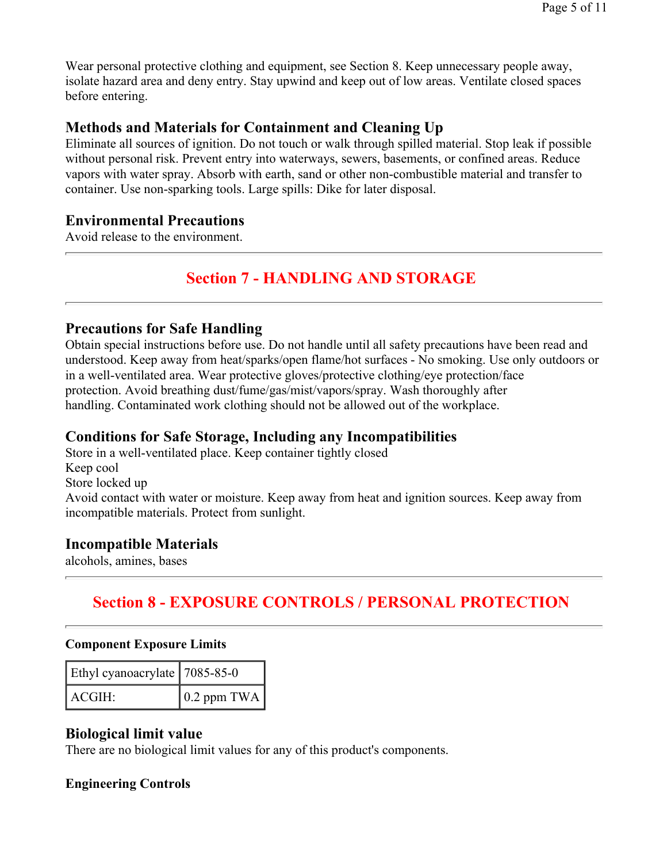Wear personal protective clothing and equipment, see Section 8. Keep unnecessary people away, isolate hazard area and deny entry. Stay upwind and keep out of low areas. Ventilate closed spaces before entering.

### **Methods and Materials for Containment and Cleaning Up**

Eliminate all sources of ignition. Do not touch or walk through spilled material. Stop leak if possible without personal risk. Prevent entry into waterways, sewers, basements, or confined areas. Reduce vapors with water spray. Absorb with earth, sand or other non-combustible material and transfer to container. Use non-sparking tools. Large spills: Dike for later disposal.

### **Environmental Precautions**

Avoid release to the environment.

# **Section 7 - HANDLING AND STORAGE**

### **Precautions for Safe Handling**

Obtain special instructions before use. Do not handle until all safety precautions have been read and understood. Keep away from heat/sparks/open flame/hot surfaces - No smoking. Use only outdoors or in a well-ventilated area. Wear protective gloves/protective clothing/eye protection/face protection. Avoid breathing dust/fume/gas/mist/vapors/spray. Wash thoroughly after handling. Contaminated work clothing should not be allowed out of the workplace.

### **Conditions for Safe Storage, Including any Incompatibilities**

Store in a well-ventilated place. Keep container tightly closed Keep cool Store locked up Avoid contact with water or moisture. Keep away from heat and ignition sources. Keep away from incompatible materials. Protect from sunlight.

### **Incompatible Materials**

alcohols, amines, bases

# **Section 8 - EXPOSURE CONTROLS / PERSONAL PROTECTION**

#### **Component Exposure Limits**

| Ethyl cyanoacrylate   7085-85-0 |                     |
|---------------------------------|---------------------|
| ACGIH:                          | $\vert$ 0.2 ppm TWA |

### **Biological limit value**

There are no biological limit values for any of this product's components.

### **Engineering Controls**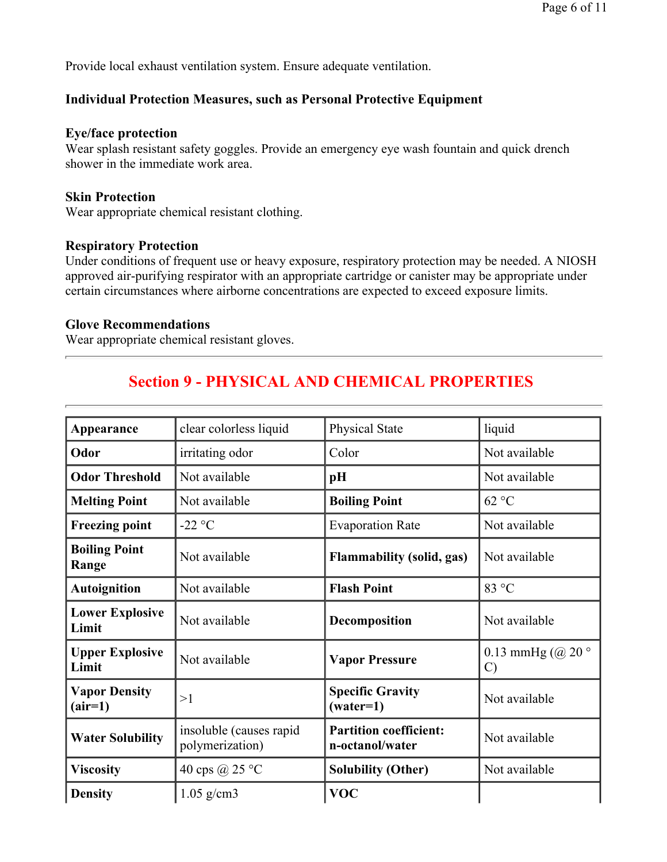Provide local exhaust ventilation system. Ensure adequate ventilation.

#### **Individual Protection Measures, such as Personal Protective Equipment**

#### **Eye/face protection**

Wear splash resistant safety goggles. Provide an emergency eye wash fountain and quick drench shower in the immediate work area.

#### **Skin Protection**

Wear appropriate chemical resistant clothing.

#### **Respiratory Protection**

Under conditions of frequent use or heavy exposure, respiratory protection may be needed. A NIOSH approved air-purifying respirator with an appropriate cartridge or canister may be appropriate under certain circumstances where airborne concentrations are expected to exceed exposure limits.

#### **Glove Recommendations**

Wear appropriate chemical resistant gloves.

# **Section 9 - PHYSICAL AND CHEMICAL PROPERTIES**

| Appearance                        | clear colorless liquid                     | Physical State                                   | liquid                             |
|-----------------------------------|--------------------------------------------|--------------------------------------------------|------------------------------------|
| Odor                              | irritating odor                            | Color                                            | Not available                      |
| <b>Odor Threshold</b>             | Not available                              | pH                                               | Not available                      |
| <b>Melting Point</b>              | Not available                              | <b>Boiling Point</b>                             | 62 °C                              |
| <b>Freezing point</b>             | $-22$ °C                                   | <b>Evaporation Rate</b>                          | Not available                      |
| <b>Boiling Point</b><br>Range     | Not available                              | <b>Flammability (solid, gas)</b>                 | Not available                      |
| <b>Autoignition</b>               | Not available                              | <b>Flash Point</b>                               | 83 °C                              |
| <b>Lower Explosive</b><br>Limit   | Not available                              | Decomposition                                    | Not available                      |
| <b>Upper Explosive</b><br>Limit   | Not available                              | <b>Vapor Pressure</b>                            | 0.13 mmHg $(Q20°$<br>$\mathcal{C}$ |
| <b>Vapor Density</b><br>$(air=1)$ | >1                                         | <b>Specific Gravity</b><br>$(water=1)$           | Not available                      |
| <b>Water Solubility</b>           | insoluble (causes rapid<br>polymerization) | <b>Partition coefficient:</b><br>n-octanol/water | Not available                      |
| <b>Viscosity</b>                  | 40 cps @ 25 °C                             | <b>Solubility (Other)</b>                        | Not available                      |
| <b>Density</b>                    | $1.05$ g/cm3                               | <b>VOC</b>                                       |                                    |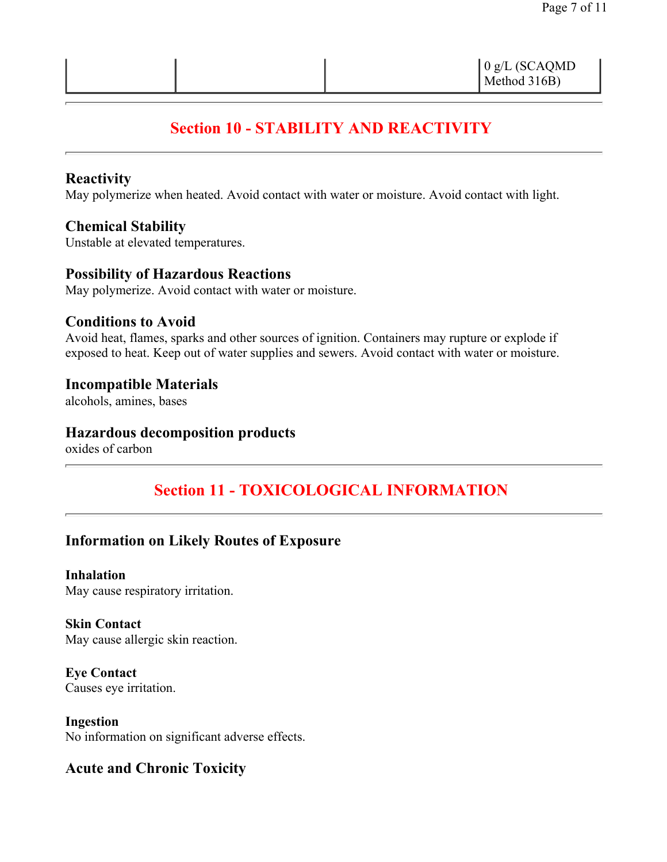# **Section 10 - STABILITY AND REACTIVITY**

### **Reactivity**

May polymerize when heated. Avoid contact with water or moisture. Avoid contact with light.

### **Chemical Stability**

Unstable at elevated temperatures.

### **Possibility of Hazardous Reactions**

May polymerize. Avoid contact with water or moisture.

#### **Conditions to Avoid**

Avoid heat, flames, sparks and other sources of ignition. Containers may rupture or explode if exposed to heat. Keep out of water supplies and sewers. Avoid contact with water or moisture.

#### **Incompatible Materials**

alcohols, amines, bases

### **Hazardous decomposition products**

oxides of carbon

# **Section 11 - TOXICOLOGICAL INFORMATION**

### **Information on Likely Routes of Exposure**

**Inhalation**  May cause respiratory irritation.

**Skin Contact**  May cause allergic skin reaction.

**Eye Contact**  Causes eye irritation.

**Ingestion**  No information on significant adverse effects.

### **Acute and Chronic Toxicity**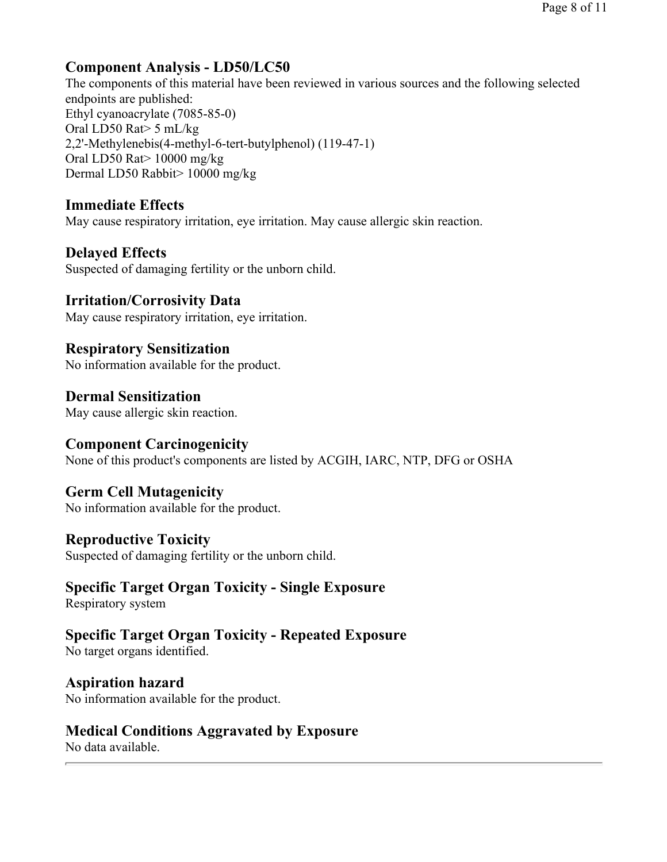## **Component Analysis - LD50/LC50**

The components of this material have been reviewed in various sources and the following selected endpoints are published: Ethyl cyanoacrylate (7085-85-0) Oral LD50 Rat> 5 mL/kg 2,2'-Methylenebis(4-methyl-6-tert-butylphenol) (119-47-1) Oral LD50 Rat> 10000 mg/kg Dermal LD50 Rabbit> 10000 mg/kg

### **Immediate Effects**

May cause respiratory irritation, eye irritation. May cause allergic skin reaction.

### **Delayed Effects**

Suspected of damaging fertility or the unborn child.

### **Irritation/Corrosivity Data**

May cause respiratory irritation, eye irritation.

# **Respiratory Sensitization**

No information available for the product.

# **Dermal Sensitization**

May cause allergic skin reaction.

### **Component Carcinogenicity**

None of this product's components are listed by ACGIH, IARC, NTP, DFG or OSHA

### **Germ Cell Mutagenicity**

No information available for the product.

### **Reproductive Toxicity**

Suspected of damaging fertility or the unborn child.

### **Specific Target Organ Toxicity - Single Exposure**

Respiratory system

# **Specific Target Organ Toxicity - Repeated Exposure**

No target organs identified.

### **Aspiration hazard**

No information available for the product.

### **Medical Conditions Aggravated by Exposure**

No data available.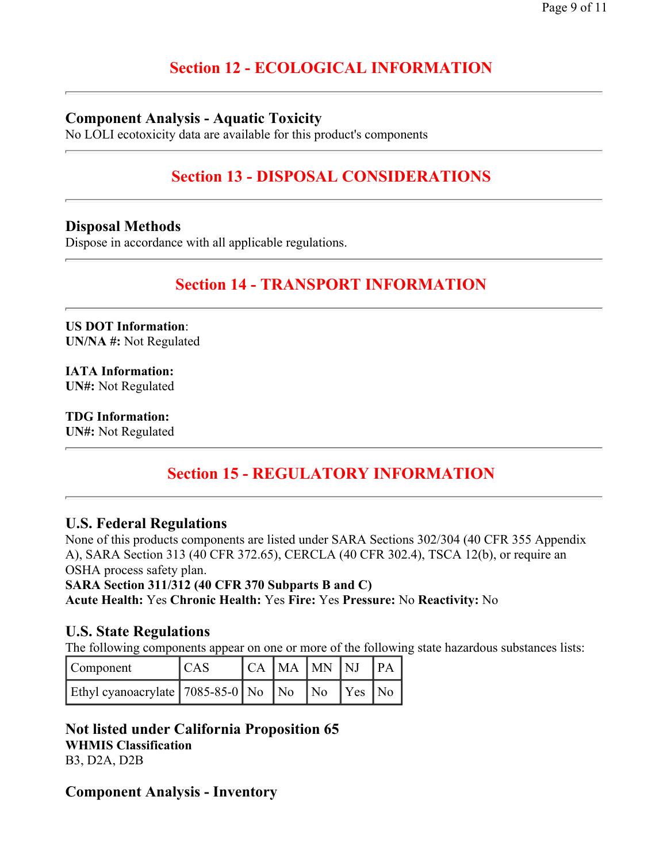# **Section 12 - ECOLOGICAL INFORMATION**

### **Component Analysis - Aquatic Toxicity**

No LOLI ecotoxicity data are available for this product's components

# **Section 13 - DISPOSAL CONSIDERATIONS**

### **Disposal Methods**

Dispose in accordance with all applicable regulations.

### **Section 14 - TRANSPORT INFORMATION**

**US DOT Information**: **UN/NA #:** Not Regulated

**IATA Information: UN#:** Not Regulated

**TDG Information: UN#:** Not Regulated

# **Section 15 - REGULATORY INFORMATION**

### **U.S. Federal Regulations**

None of this products components are listed under SARA Sections 302/304 (40 CFR 355 Appendix A), SARA Section 313 (40 CFR 372.65), CERCLA (40 CFR 302.4), TSCA 12(b), or require an OSHA process safety plan.

**SARA Section 311/312 (40 CFR 370 Subparts B and C)**

**Acute Health:** Yes **Chronic Health:** Yes **Fire:** Yes **Pressure:** No **Reactivity:** No

#### **U.S. State Regulations**

The following components appear on one or more of the following state hazardous substances lists:

| Component                                       | <sub>CAS</sub> | CA MA MN NJ PA |  |  |
|-------------------------------------------------|----------------|----------------|--|--|
| Ethyl cyanoacrylate $7085-85-0$ No No No Yes No |                |                |  |  |

#### **Not listed under California Proposition 65 WHMIS Classification** B3, D2A, D2B

### **Component Analysis - Inventory**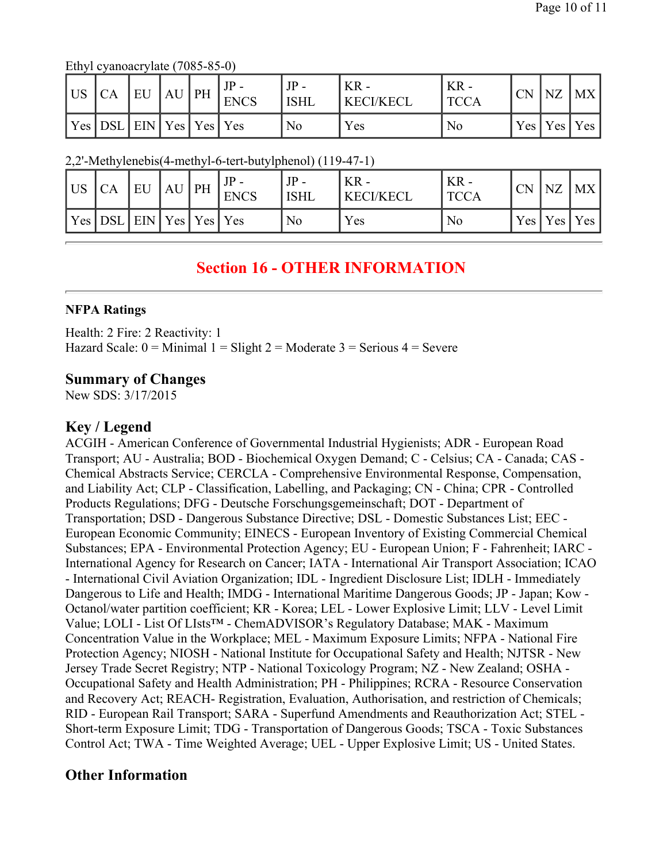Ethyl cyanoacrylate (7085-85-0)

| l US | CA                                              | EU | $AU$ PH | <b>ENCS</b> | $JP -$<br><b>ISHL</b> | $KR -$<br><b>KECI/KECL</b> | KR -<br>TCCA | CN | $\overline{\text{NZ}}$ | MX              |
|------|-------------------------------------------------|----|---------|-------------|-----------------------|----------------------------|--------------|----|------------------------|-----------------|
|      | $ $ Yes $ $ DSL $ $ EIN $ $ Yes $ $ Yes $ $ Yes |    |         |             | No                    | Yes                        | No           |    |                        | Yes   Yes   Yes |

2,2'-Methylenebis(4-methyl-6-tert-butylphenol) (119-47-1)

| US  | CA   | EU                | AU | PH | <b>ENCS</b> | $JP -$<br><b>ISHL</b> | $KR -$<br><b>KECI/KECL</b> | $KR -$<br><b>TCCA</b> | CN               | NZ  | <b>MX</b> |
|-----|------|-------------------|----|----|-------------|-----------------------|----------------------------|-----------------------|------------------|-----|-----------|
| Yes | 'DSL | L EIN Yes Yes Yes |    |    |             | No                    | Yes                        | No                    | Yes <sub>l</sub> | Yes | Yes       |

# **Section 16 - OTHER INFORMATION**

#### **NFPA Ratings**

Health: 2 Fire: 2 Reactivity: 1 Hazard Scale:  $0 =$  Minimal  $1 =$  Slight  $2 =$  Moderate  $3 =$  Serious  $4 =$  Severe

### **Summary of Changes**

New SDS: 3/17/2015

### **Key / Legend**

ACGIH - American Conference of Governmental Industrial Hygienists; ADR - European Road Transport; AU - Australia; BOD - Biochemical Oxygen Demand; C - Celsius; CA - Canada; CAS - Chemical Abstracts Service; CERCLA - Comprehensive Environmental Response, Compensation, and Liability Act; CLP - Classification, Labelling, and Packaging; CN - China; CPR - Controlled Products Regulations; DFG - Deutsche Forschungsgemeinschaft; DOT - Department of Transportation; DSD - Dangerous Substance Directive; DSL - Domestic Substances List; EEC - European Economic Community; EINECS - European Inventory of Existing Commercial Chemical Substances; EPA - Environmental Protection Agency; EU - European Union; F - Fahrenheit; IARC - International Agency for Research on Cancer; IATA - International Air Transport Association; ICAO - International Civil Aviation Organization; IDL - Ingredient Disclosure List; IDLH - Immediately Dangerous to Life and Health; IMDG - International Maritime Dangerous Goods; JP - Japan; Kow - Octanol/water partition coefficient; KR - Korea; LEL - Lower Explosive Limit; LLV - Level Limit Value; LOLI - List Of LIsts™ - ChemADVISOR's Regulatory Database; MAK - Maximum Concentration Value in the Workplace; MEL - Maximum Exposure Limits; NFPA - National Fire Protection Agency; NIOSH - National Institute for Occupational Safety and Health; NJTSR - New Jersey Trade Secret Registry; NTP - National Toxicology Program; NZ - New Zealand; OSHA - Occupational Safety and Health Administration; PH - Philippines; RCRA - Resource Conservation and Recovery Act; REACH- Registration, Evaluation, Authorisation, and restriction of Chemicals; RID - European Rail Transport; SARA - Superfund Amendments and Reauthorization Act; STEL - Short-term Exposure Limit; TDG - Transportation of Dangerous Goods; TSCA - Toxic Substances Control Act; TWA - Time Weighted Average; UEL - Upper Explosive Limit; US - United States.

### **Other Information**